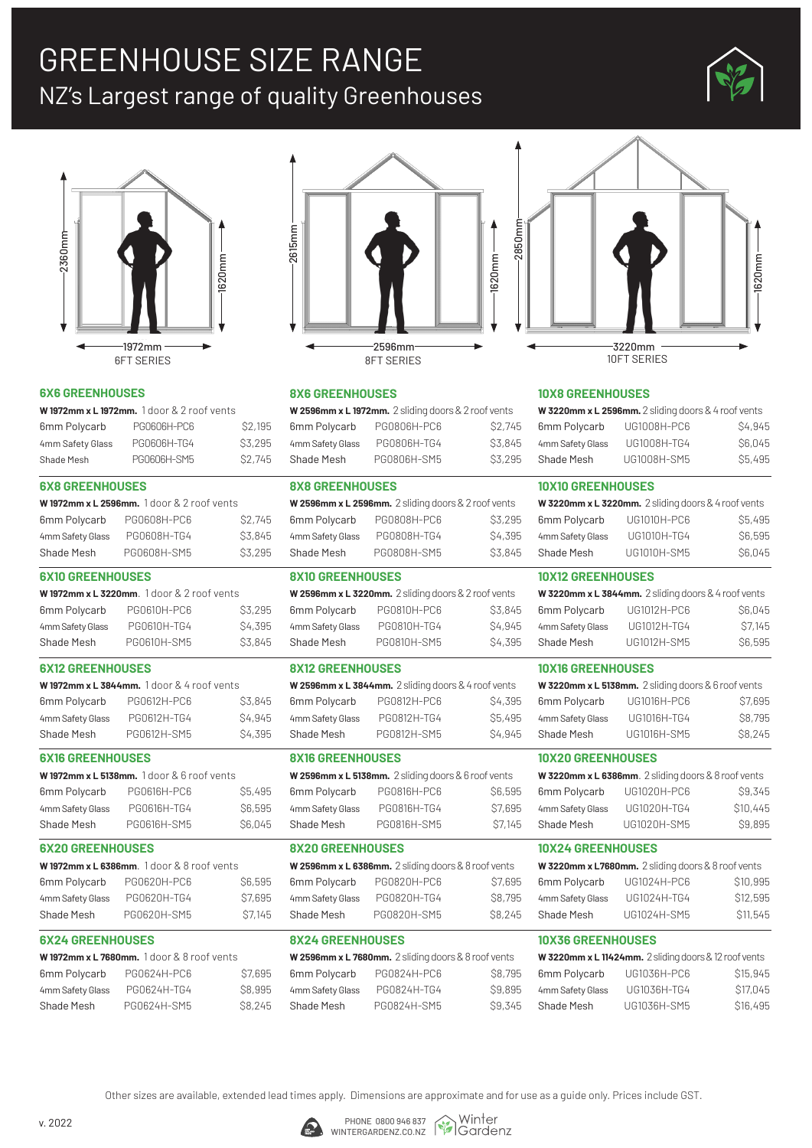# GREENHOUSE SIZE RANGE NZ's Largest range of quality Greenhouses





#### **6X6 GREENHOUSES**

| <b>W1972mm x L1972mm.</b> 1 door & 2 roof vents |             |               |  |
|-------------------------------------------------|-------------|---------------|--|
| 6mm Polycarb                                    | PG0606H-PC6 | <b>S2,195</b> |  |
| 4mm Safety Glass                                | PG0606H-TG4 | \$3,295       |  |
| Shade Mesh                                      | PG0606H-SM5 | \$2.745       |  |

#### **6X8 GREENHOUSES**

|                  | <b>W1972mm x L 2596mm.</b> 1 door & 2 roof vents |         |
|------------------|--------------------------------------------------|---------|
| 6mm Polycarb     | PG0608H-PC6                                      | \$2,745 |
| 4mm Safety Glass | PG0608H-TG4                                      | \$3.845 |
| Shade Mesh       | PG0608H-SM5                                      | \$3,295 |
|                  |                                                  |         |

#### **6X10 GREENHOUSES**

| <b>W1972mm x L 3220mm.</b> 1 door & 2 roof vents |             |               |
|--------------------------------------------------|-------------|---------------|
| 6mm Polycarb                                     | PG0610H-PC6 | \$3,295       |
| 4mm Safety Glass                                 | PG0610H-TG4 | <b>S4,395</b> |
| Shade Mesh                                       | PG0610H-SM5 | \$3,845       |

#### **6X12 GREENHOUSES**

| <b>W1972mm x L 3844mm.</b> 1 door & 4 roof vents |             |                     |  |
|--------------------------------------------------|-------------|---------------------|--|
| 6mm Polycarb                                     | PG0612H-PC6 | \$3,845             |  |
| 4mm Safety Glass                                 | PG0612H-TG4 | <b>S4,945</b>       |  |
| Shade Mesh                                       | PG0612H-SM5 | S <sub>4</sub> ,395 |  |

#### **6X16 GREENHOUSES**

| <b>W1972mm x L 5138mm.</b> 1 door & 6 roof vents |             |               |
|--------------------------------------------------|-------------|---------------|
| 6mm Polycarb                                     | PG0616H-PC6 | <b>S5,495</b> |
| 4mm Safety Glass                                 | PG0616H-TG4 | <b>S6,595</b> |
| Shade Mesh                                       | PG0616H-SM5 | <b>S6,045</b> |

#### **6X20 GREENHOUSES**

|                  | W1972mm x L 6386mm. 1 door & 8 roof vents |               |
|------------------|-------------------------------------------|---------------|
| 6mm Polycarb     | PG0620H-PC6                               | <b>S6,595</b> |
| 4mm Safety Glass | PG0620H-TG4                               | \$7,695       |
| Shade Mesh       | PG0620H-SM5                               | S7,145        |

#### **6X24 GREENHOUSES**

| <b>W1972mm x L 7680mm.</b> 1 door & 8 roof vents |               |  |
|--------------------------------------------------|---------------|--|
| PG0624H-PC6                                      | \$7,695       |  |
| PG0624H-TG4                                      | \$8,995       |  |
| PG0624H-SM5                                      | <b>S8,245</b> |  |
|                                                  |               |  |



#### **8X6 GREENHOUSES**

| W 2596mm x L 1972mm. 2 sliding doors & 2 roof vents |             |               |  |
|-----------------------------------------------------|-------------|---------------|--|
| 6mm Polycarb                                        | PG0806H-PC6 | S2.745        |  |
| 4mm Safety Glass                                    | PG0806H-TG4 | \$3,845       |  |
| Shade Mesh                                          | PG0806H-SM5 | <b>S3,295</b> |  |

#### **8X8 GREENHOUSES**

| W 2596mm x L 2596mm. 2 sliding doors & 2 roof vents |             |               |
|-----------------------------------------------------|-------------|---------------|
| 6mm Polycarb                                        | PG0808H-PC6 | \$3,295       |
| 4mm Safety Glass                                    | PG0808H-TG4 | <b>S4,395</b> |
| Shade Mesh                                          | PG0808H-SM5 | \$3,845       |
|                                                     |             |               |

#### **8X10 GREENHOUSES**

| W 2596mm x L 3220mm. 2 sliding doors & 2 roof vents |             |               |
|-----------------------------------------------------|-------------|---------------|
| 6mm Polycarb                                        | PG0810H-PC6 | \$3,845       |
| 4mm Safety Glass                                    | PG0810H-TG4 | S4,945        |
| Shade Mesh                                          | PG0810H-SM5 | <b>S4,395</b> |

#### **8X12 GREENHOUSES**

| W 2596 $mm \times L$ 3844 $mm$ . 2 sliding doors & 4 roof vents |             |                    |  |
|-----------------------------------------------------------------|-------------|--------------------|--|
| 6mm Polycarb                                                    | PG0812H-PC6 | S4,395             |  |
| 4mm Safety Glass                                                | PG0812H-TG4 | <b>S5,495</b>      |  |
| Shade Mesh                                                      | PG0812H-SM5 | S <sub>4.945</sub> |  |

#### **8X16 GREENHOUSES**

| W 2596mm x L 5138mm. 2 sliding doors & 6 roof vents |             |               |  |
|-----------------------------------------------------|-------------|---------------|--|
| 6mm Polycarb                                        | PG0816H-PC6 | <b>S6,595</b> |  |
| 4mm Safety Glass                                    | PG0816H-TG4 | \$7,695       |  |
| Shade Mesh                                          | PG0816H-SM5 | \$7,145       |  |

#### **8X20 GREENHOUSES**

| W 2596mm x L 6386mm. 2 sliding doors & 8 roof vents |             |         |  |  |  |
|-----------------------------------------------------|-------------|---------|--|--|--|
| 6mm Polycarb                                        | PG0820H-PC6 | \$7,695 |  |  |  |
| 4mm Safety Glass                                    | PG0820H-TG4 | S8,795  |  |  |  |
| Shade Mesh                                          | PG0820H-SM5 | \$8,245 |  |  |  |
|                                                     |             |         |  |  |  |

#### **8X24 GREENHOUSES**

| W 2596mm x L 7680mm. 2 sliding doors & 8 roof vents |             |               |  |  |  |
|-----------------------------------------------------|-------------|---------------|--|--|--|
| 6mm Polycarb                                        | PG0824H-PC6 | <b>S8,795</b> |  |  |  |
| 4mm Safety Glass                                    | PG0824H-TG4 | \$9,895       |  |  |  |
| Shade Mesh                                          | PG0824H-SM5 | \$9,345       |  |  |  |



#### **10X8 GREENHOUSES**

| W 3220mm x L 2596mm. 2 sliding doors & 4 roof vents |             |               |  |  |
|-----------------------------------------------------|-------------|---------------|--|--|
| 6mm Polycarb                                        | UG1008H-PC6 | S4,945        |  |  |
| 4mm Safety Glass                                    | UG1008H-TG4 | <b>S6,045</b> |  |  |
| Shade Mesh                                          | UG1008H-SM5 | <b>S5,495</b> |  |  |

#### **10X10 GREENHOUSES**

| W 3220mm x L 3220mm. 2 sliding doors & 4 roof vents |             |         |  |  |  |
|-----------------------------------------------------|-------------|---------|--|--|--|
| 6mm Polycarb                                        | UG1010H-PC6 | \$5,495 |  |  |  |
| 4mm Safety Glass                                    | UG1010H-TG4 | S6,595  |  |  |  |
| Shade Mesh                                          | UG1010H-SM5 | \$6,045 |  |  |  |

#### **10X12 GREENHOUSES**

| W 3220mm x L 3844mm. 2 sliding doors & 4 roof vents |             |               |  |  |  |
|-----------------------------------------------------|-------------|---------------|--|--|--|
| 6mm Polycarb                                        | UG1012H-PC6 | <b>S6,045</b> |  |  |  |
| 4mm Safety Glass                                    | UG1012H-TG4 | S7,145        |  |  |  |
| Shade Mesh                                          | UG1012H-SM5 | S6,595        |  |  |  |

#### **10X16 GREENHOUSES**

| W 3220mm x L 5138mm. 2 sliding doors & 6 roof vents |             |               |  |  |  |
|-----------------------------------------------------|-------------|---------------|--|--|--|
| 6mm Polycarb                                        | UG1016H-PC6 | \$7,695       |  |  |  |
| 4mm Safety Glass                                    | UG1016H-TG4 | <b>S8,795</b> |  |  |  |
| Shade Mesh                                          | UG1016H-SM5 | \$8,245       |  |  |  |

#### **10X20 GREENHOUSES**

| W 3220mm x L 6386mm. 2 sliding doors & 8 roof vents |             |                |  |  |
|-----------------------------------------------------|-------------|----------------|--|--|
| 6mm Polycarb                                        | UG1020H-PC6 | \$9,345        |  |  |
| 4mm Safety Glass                                    | UG1020H-TG4 | <b>S10,445</b> |  |  |
| Shade Mesh                                          | UG1020H-SM5 | \$9,895        |  |  |

#### **10X24 GREENHOUSES**

| W 3220mm x L7680mm. 2 sliding doors & 8 roof vents |             |                |  |  |  |
|----------------------------------------------------|-------------|----------------|--|--|--|
| 6mm Polycarb                                       | UG1024H-PC6 | \$10,995       |  |  |  |
| 4mm Safety Glass                                   | UG1024H-TG4 | \$12,595       |  |  |  |
| Shade Mesh                                         | UG1024H-SM5 | <b>S11,545</b> |  |  |  |

#### **10X36 GREENHOUSES**

| W 3220mm x L 11424mm. 2 sliding doors & 12 roof vents |             |                       |  |  |  |
|-------------------------------------------------------|-------------|-----------------------|--|--|--|
| 6mm Polycarb                                          | UG1036H-PC6 | S <sub>15</sub> , 945 |  |  |  |
| 4mm Safety Glass                                      | UG1036H-TG4 | \$17,045              |  |  |  |
| Shade Mesh                                            | UG1036H-SM5 | S <sub>16</sub> , 495 |  |  |  |

, Winter